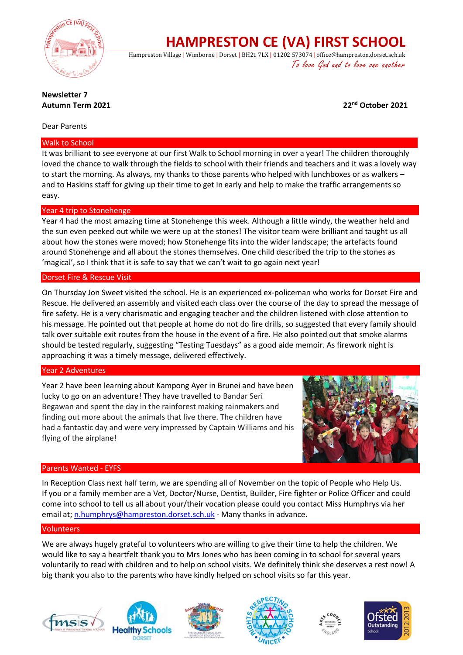

**HAMPRESTON CE (VA) FIRST SCHOOL**

Hampreston Village | Wimborne | Dorset | BH21 7LX | 01202 573074 | office@hampreston.dorset.sch.uk To love God and to love one another

#### **Newsletter 7 Autumn Term 2021 22nd October 2021**

#### Dear Parents

#### Walk to School

It was brilliant to see everyone at our first Walk to School morning in over a year! The children thoroughly loved the chance to walk through the fields to school with their friends and teachers and it was a lovely way to start the morning. As always, my thanks to those parents who helped with lunchboxes or as walkers – and to Haskins staff for giving up their time to get in early and help to make the traffic arrangements so easy.

## Year 4 trip to Stonehenge

Year 4 had the most amazing time at Stonehenge this week. Although a little windy, the weather held and the sun even peeked out while we were up at the stones! The visitor team were brilliant and taught us all about how the stones were moved; how Stonehenge fits into the wider landscape; the artefacts found around Stonehenge and all about the stones themselves. One child described the trip to the stones as 'magical', so I think that it is safe to say that we can't wait to go again next year!

#### Dorset Fire & Rescue Visit

On Thursday Jon Sweet visited the school. He is an experienced ex-policeman who works for Dorset Fire and Rescue. He delivered an assembly and visited each class over the course of the day to spread the message of fire safety. He is a very charismatic and engaging teacher and the children listened with close attention to his message. He pointed out that people at home do not do fire drills, so suggested that every family should talk over suitable exit routes from the house in the event of a fire. He also pointed out that smoke alarms should be tested regularly, suggesting "Testing Tuesdays" as a good aide memoir. As firework night is approaching it was a timely message, delivered effectively.

## Year 2 Adventures

Year 2 have been learning about Kampong Ayer in Brunei and have been lucky to go on an adventure! They have travelled to Bandar Seri Begawan and spent the day in the rainforest making rainmakers and finding out more about the animals that live there. The children have had a fantastic day and were very impressed by Captain Williams and his flying of the airplane!



## Parents Wanted - EYFS

In Reception Class next half term, we are spending all of November on the topic of People who Help Us. If you or a family member are a Vet, Doctor/Nurse, Dentist, Builder, Fire fighter or Police Officer and could come into school to tell us all about your/their vocation please could you contact Miss Humphrys via her email at[; n.humphrys@hampreston.dorset.sch.uk](mailto:n.humphrys@hampreston.dorset.sch.uk) - Many thanks in advance.

#### Volunteers

We are always hugely grateful to volunteers who are willing to give their time to help the children. We would like to say a heartfelt thank you to Mrs Jones who has been coming in to school for several years voluntarily to read with children and to help on school visits. We definitely think she deserves a rest now! A big thank you also to the parents who have kindly helped on school visits so far this year.











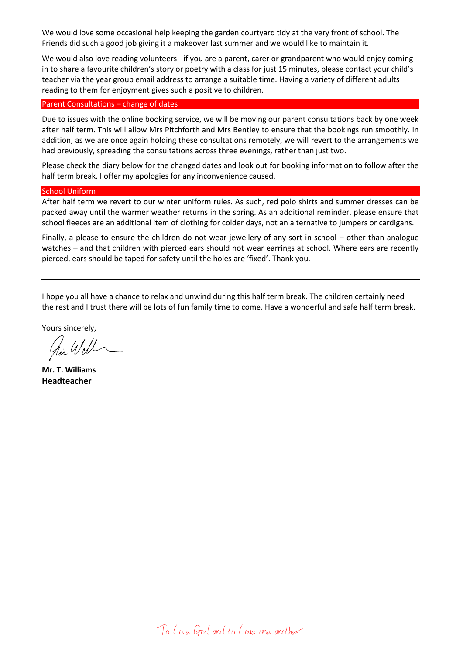We would love some occasional help keeping the garden courtyard tidy at the very front of school. The Friends did such a good job giving it a makeover last summer and we would like to maintain it.

We would also love reading volunteers - if you are a parent, carer or grandparent who would enjoy coming in to share a favourite children's story or poetry with a class for just 15 minutes, please contact your child's teacher via the year group email address to arrange a suitable time. Having a variety of different adults reading to them for enjoyment gives such a positive to children.

#### Parent Consultations – change of dates

Due to issues with the online booking service, we will be moving our parent consultations back by one week after half term. This will allow Mrs Pitchforth and Mrs Bentley to ensure that the bookings run smoothly. In addition, as we are once again holding these consultations remotely, we will revert to the arrangements we had previously, spreading the consultations across three evenings, rather than just two.

Please check the diary below for the changed dates and look out for booking information to follow after the half term break. I offer my apologies for any inconvenience caused.

#### School Uniform

After half term we revert to our winter uniform rules. As such, red polo shirts and summer dresses can be packed away until the warmer weather returns in the spring. As an additional reminder, please ensure that school fleeces are an additional item of clothing for colder days, not an alternative to jumpers or cardigans.

Finally, a please to ensure the children do not wear jewellery of any sort in school – other than analogue watches – and that children with pierced ears should not wear earrings at school. Where ears are recently pierced, ears should be taped for safety until the holes are 'fixed'. Thank you.

I hope you all have a chance to relax and unwind during this half term break. The children certainly need the rest and I trust there will be lots of fun family time to come. Have a wonderful and safe half term break.

Yours sincerely,

hi Will

**Mr. T. Williams Headteacher**

To Love God and to Love one another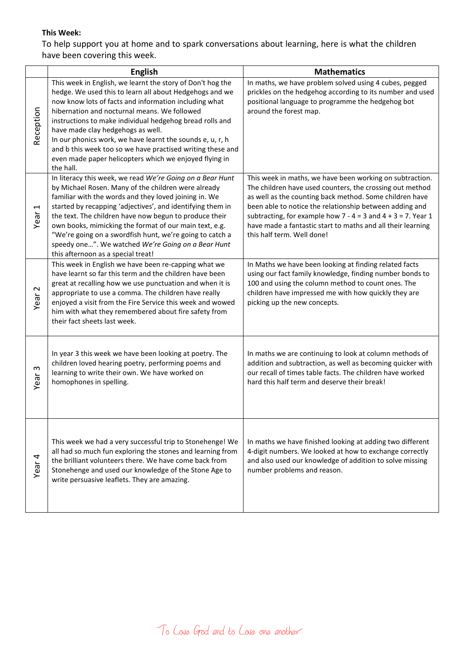## **This Week:**

To help support you at home and to spark conversations about learning, here is what the children have been covering this week.

|                               | <b>English</b>                                                                                                                                                                                                                                                                                                                                                                                                                                                                                                                    | <b>Mathematics</b>                                                                                                                                                                                                                                                                                                                                                                                           |
|-------------------------------|-----------------------------------------------------------------------------------------------------------------------------------------------------------------------------------------------------------------------------------------------------------------------------------------------------------------------------------------------------------------------------------------------------------------------------------------------------------------------------------------------------------------------------------|--------------------------------------------------------------------------------------------------------------------------------------------------------------------------------------------------------------------------------------------------------------------------------------------------------------------------------------------------------------------------------------------------------------|
| Reception                     | This week in English, we learnt the story of Don't hog the<br>hedge. We used this to learn all about Hedgehogs and we<br>now know lots of facts and information including what<br>hibernation and nocturnal means. We followed<br>instructions to make individual hedgehog bread rolls and<br>have made clay hedgehogs as well.<br>In our phonics work, we have learnt the sounds e, u, r, h<br>and b this week too so we have practised writing these and<br>even made paper helicopters which we enjoyed flying in<br>the hall. | In maths, we have problem solved using 4 cubes, pegged<br>prickles on the hedgehog according to its number and used<br>positional language to programme the hedgehog bot<br>around the forest map.                                                                                                                                                                                                           |
| $\blacktriangleright$<br>Year | In literacy this week, we read We're Going on a Bear Hunt<br>by Michael Rosen. Many of the children were already<br>familiar with the words and they loved joining in. We<br>started by recapping 'adjectives', and identifying them in<br>the text. The children have now begun to produce their<br>own books, mimicking the format of our main text, e.g.<br>"We're going on a swordfish hunt, we're going to catch a<br>speedy one". We watched We're Going on a Bear Hunt<br>this afternoon as a special treat!               | This week in maths, we have been working on subtraction.<br>The children have used counters, the crossing out method<br>as well as the counting back method. Some children have<br>been able to notice the relationship between adding and<br>subtracting, for example how $7 - 4 = 3$ and $4 + 3 = 7$ . Year 1<br>have made a fantastic start to maths and all their learning<br>this half term. Well done! |
| $\sim$<br>Year                | This week in English we have been re-capping what we<br>have learnt so far this term and the children have been<br>great at recalling how we use punctuation and when it is<br>appropriate to use a comma. The children have really<br>enjoyed a visit from the Fire Service this week and wowed<br>him with what they remembered about fire safety from<br>their fact sheets last week.                                                                                                                                          | In Maths we have been looking at finding related facts<br>using our fact family knowledge, finding number bonds to<br>100 and using the column method to count ones. The<br>children have impressed me with how quickly they are<br>picking up the new concepts.                                                                                                                                             |
| ო<br>Year                     | In year 3 this week we have been looking at poetry. The<br>children loved hearing poetry, performing poems and<br>learning to write their own. We have worked on<br>homophones in spelling.                                                                                                                                                                                                                                                                                                                                       | In maths we are continuing to look at column methods of<br>addition and subtraction, as well as becoming quicker with<br>our recall of times table facts. The children have worked<br>hard this half term and deserve their break!                                                                                                                                                                           |
| Year 4                        | This week we had a very successful trip to Stonehenge! We<br>all had so much fun exploring the stones and learning from<br>the brilliant volunteers there. We have come back from<br>Stonehenge and used our knowledge of the Stone Age to<br>write persuasive leaflets. They are amazing.                                                                                                                                                                                                                                        | In maths we have finished looking at adding two different<br>4-digit numbers. We looked at how to exchange correctly<br>and also used our knowledge of addition to solve missing<br>number problems and reason.                                                                                                                                                                                              |

To Love God and to Love one another